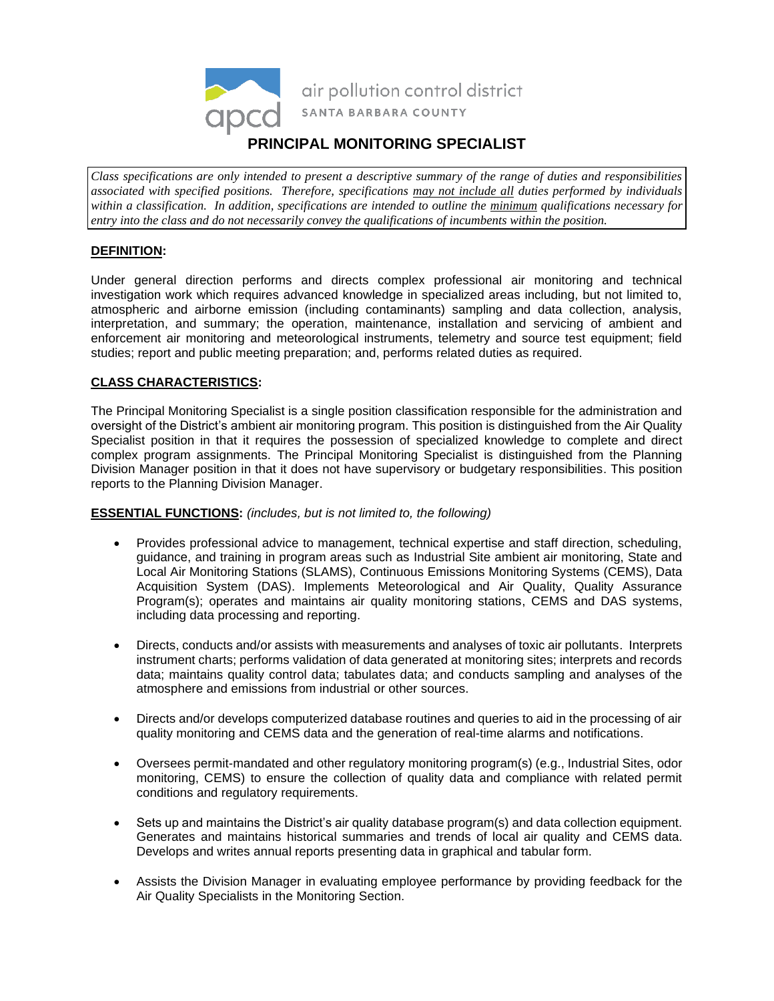

*Class specifications are only intended to present a descriptive summary of the range of duties and responsibilities associated with specified positions. Therefore, specifications may not include all duties performed by individuals within a classification. In addition, specifications are intended to outline the minimum qualifications necessary for entry into the class and do not necessarily convey the qualifications of incumbents within the position.*

# **DEFINITION:**

Under general direction performs and directs complex professional air monitoring and technical investigation work which requires advanced knowledge in specialized areas including, but not limited to, atmospheric and airborne emission (including contaminants) sampling and data collection, analysis, interpretation, and summary; the operation, maintenance, installation and servicing of ambient and enforcement air monitoring and meteorological instruments, telemetry and source test equipment; field studies; report and public meeting preparation; and, performs related duties as required.

# **CLASS CHARACTERISTICS:**

The Principal Monitoring Specialist is a single position classification responsible for the administration and oversight of the District's ambient air monitoring program. This position is distinguished from the Air Quality Specialist position in that it requires the possession of specialized knowledge to complete and direct complex program assignments. The Principal Monitoring Specialist is distinguished from the Planning Division Manager position in that it does not have supervisory or budgetary responsibilities. This position reports to the Planning Division Manager.

### **ESSENTIAL FUNCTIONS:** *(includes, but is not limited to, the following)*

- Provides professional advice to management, technical expertise and staff direction, scheduling, guidance, and training in program areas such as Industrial Site ambient air monitoring, State and Local Air Monitoring Stations (SLAMS), Continuous Emissions Monitoring Systems (CEMS), Data Acquisition System (DAS). Implements Meteorological and Air Quality, Quality Assurance Program(s); operates and maintains air quality monitoring stations, CEMS and DAS systems, including data processing and reporting.
- Directs, conducts and/or assists with measurements and analyses of toxic air pollutants. Interprets instrument charts; performs validation of data generated at monitoring sites; interprets and records data; maintains quality control data; tabulates data; and conducts sampling and analyses of the atmosphere and emissions from industrial or other sources.
- Directs and/or develops computerized database routines and queries to aid in the processing of air quality monitoring and CEMS data and the generation of real-time alarms and notifications.
- Oversees permit-mandated and other regulatory monitoring program(s) (e.g., Industrial Sites, odor monitoring, CEMS) to ensure the collection of quality data and compliance with related permit conditions and regulatory requirements.
- Sets up and maintains the District's air quality database program(s) and data collection equipment. Generates and maintains historical summaries and trends of local air quality and CEMS data. Develops and writes annual reports presenting data in graphical and tabular form.
- Assists the Division Manager in evaluating employee performance by providing feedback for the Air Quality Specialists in the Monitoring Section.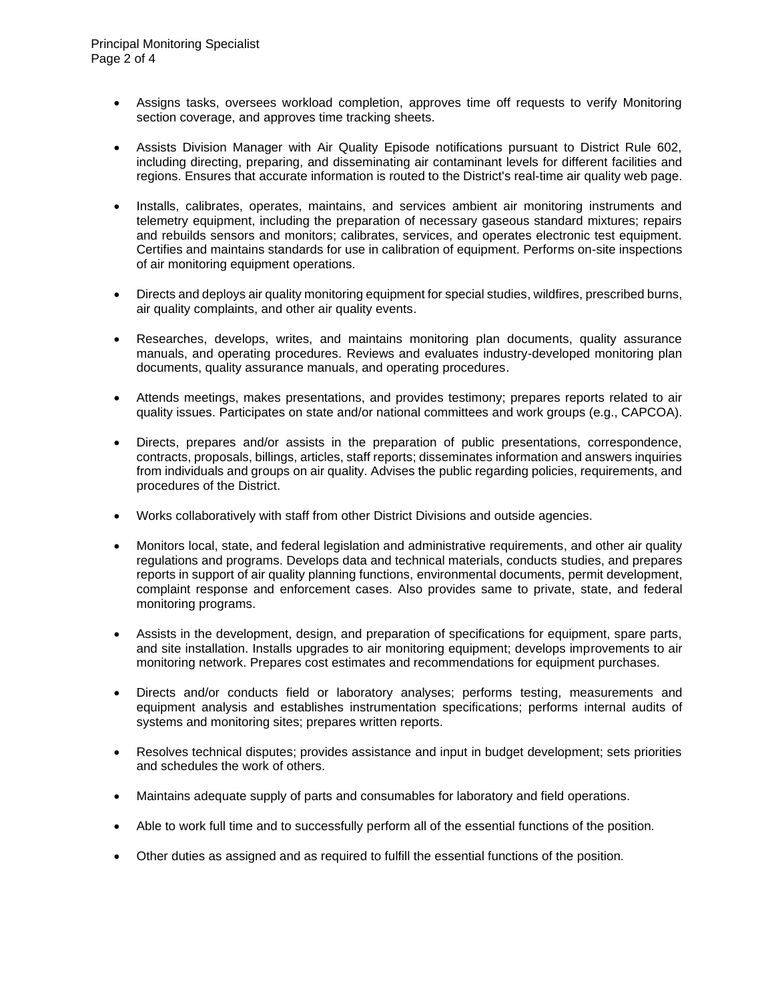- Assigns tasks, oversees workload completion, approves time off requests to verify Monitoring section coverage, and approves time tracking sheets.
- Assists Division Manager with Air Quality Episode notifications pursuant to District Rule 602, including directing, preparing, and disseminating air contaminant levels for different facilities and regions. Ensures that accurate information is routed to the District's real-time air quality web page.
- Installs, calibrates, operates, maintains, and services ambient air monitoring instruments and telemetry equipment, including the preparation of necessary gaseous standard mixtures; repairs and rebuilds sensors and monitors; calibrates, services, and operates electronic test equipment. Certifies and maintains standards for use in calibration of equipment. Performs on-site inspections of air monitoring equipment operations.
- Directs and deploys air quality monitoring equipment for special studies, wildfires, prescribed burns, air quality complaints, and other air quality events.
- Researches, develops, writes, and maintains monitoring plan documents, quality assurance manuals, and operating procedures. Reviews and evaluates industry-developed monitoring plan documents, quality assurance manuals, and operating procedures.
- Attends meetings, makes presentations, and provides testimony; prepares reports related to air quality issues. Participates on state and/or national committees and work groups (e.g., CAPCOA).
- Directs, prepares and/or assists in the preparation of public presentations, correspondence, contracts, proposals, billings, articles, staff reports; disseminates information and answers inquiries from individuals and groups on air quality. Advises the public regarding policies, requirements, and procedures of the District.
- Works collaboratively with staff from other District Divisions and outside agencies.
- Monitors local, state, and federal legislation and administrative requirements, and other air quality regulations and programs. Develops data and technical materials, conducts studies, and prepares reports in support of air quality planning functions, environmental documents, permit development, complaint response and enforcement cases. Also provides same to private, state, and federal monitoring programs.
- Assists in the development, design, and preparation of specifications for equipment, spare parts, and site installation. Installs upgrades to air monitoring equipment; develops improvements to air monitoring network. Prepares cost estimates and recommendations for equipment purchases.
- Directs and/or conducts field or laboratory analyses; performs testing, measurements and equipment analysis and establishes instrumentation specifications; performs internal audits of systems and monitoring sites; prepares written reports.
- Resolves technical disputes; provides assistance and input in budget development; sets priorities and schedules the work of others.
- Maintains adequate supply of parts and consumables for laboratory and field operations.
- Able to work full time and to successfully perform all of the essential functions of the position.
- Other duties as assigned and as required to fulfill the essential functions of the position.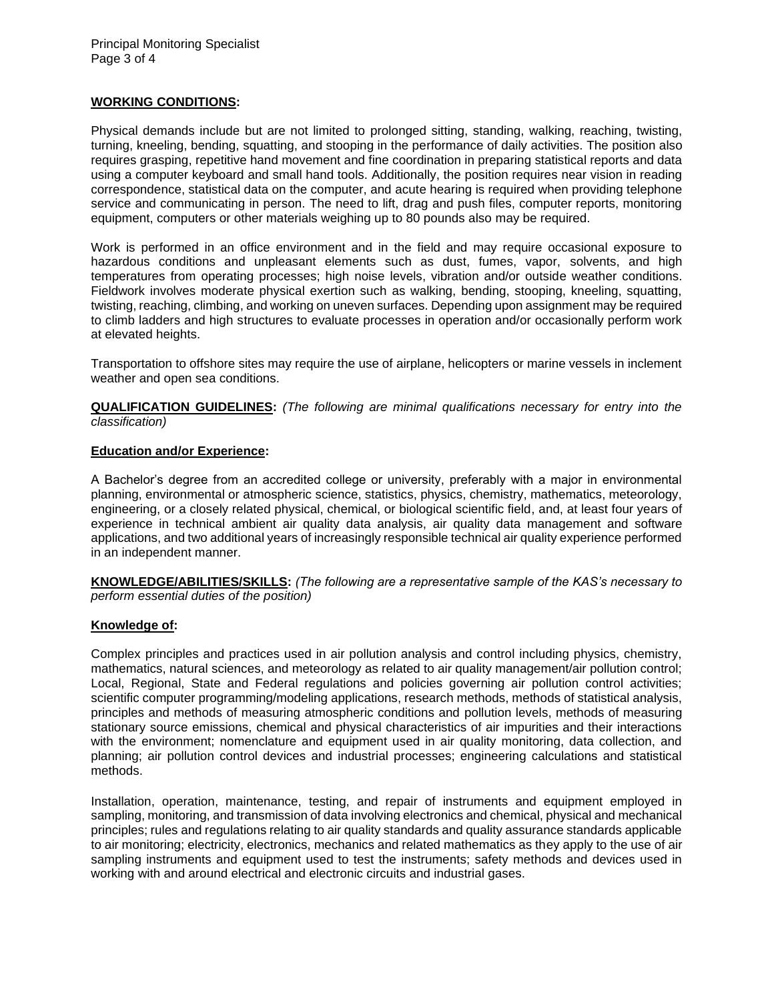### **WORKING CONDITIONS:**

Physical demands include but are not limited to prolonged sitting, standing, walking, reaching, twisting, turning, kneeling, bending, squatting, and stooping in the performance of daily activities. The position also requires grasping, repetitive hand movement and fine coordination in preparing statistical reports and data using a computer keyboard and small hand tools. Additionally, the position requires near vision in reading correspondence, statistical data on the computer, and acute hearing is required when providing telephone service and communicating in person. The need to lift, drag and push files, computer reports, monitoring equipment, computers or other materials weighing up to 80 pounds also may be required.

Work is performed in an office environment and in the field and may require occasional exposure to hazardous conditions and unpleasant elements such as dust, fumes, vapor, solvents, and high temperatures from operating processes; high noise levels, vibration and/or outside weather conditions. Fieldwork involves moderate physical exertion such as walking, bending, stooping, kneeling, squatting, twisting, reaching, climbing, and working on uneven surfaces. Depending upon assignment may be required to climb ladders and high structures to evaluate processes in operation and/or occasionally perform work at elevated heights.

Transportation to offshore sites may require the use of airplane, helicopters or marine vessels in inclement weather and open sea conditions.

**QUALIFICATION GUIDELINES:** *(The following are minimal qualifications necessary for entry into the classification)*

### **Education and/or Experience:**

A Bachelor's degree from an accredited college or university, preferably with a major in environmental planning, environmental or atmospheric science, statistics, physics, chemistry, mathematics, meteorology, engineering, or a closely related physical, chemical, or biological scientific field, and, at least four years of experience in technical ambient air quality data analysis, air quality data management and software applications, and two additional years of increasingly responsible technical air quality experience performed in an independent manner.

**KNOWLEDGE/ABILITIES/SKILLS:** *(The following are a representative sample of the KAS's necessary to perform essential duties of the position)*

### **Knowledge of:**

Complex principles and practices used in air pollution analysis and control including physics, chemistry, mathematics, natural sciences, and meteorology as related to air quality management/air pollution control; Local, Regional, State and Federal regulations and policies governing air pollution control activities; scientific computer programming/modeling applications, research methods, methods of statistical analysis, principles and methods of measuring atmospheric conditions and pollution levels, methods of measuring stationary source emissions, chemical and physical characteristics of air impurities and their interactions with the environment; nomenclature and equipment used in air quality monitoring, data collection, and planning; air pollution control devices and industrial processes; engineering calculations and statistical methods.

Installation, operation, maintenance, testing, and repair of instruments and equipment employed in sampling, monitoring, and transmission of data involving electronics and chemical, physical and mechanical principles; rules and regulations relating to air quality standards and quality assurance standards applicable to air monitoring; electricity, electronics, mechanics and related mathematics as they apply to the use of air sampling instruments and equipment used to test the instruments; safety methods and devices used in working with and around electrical and electronic circuits and industrial gases.